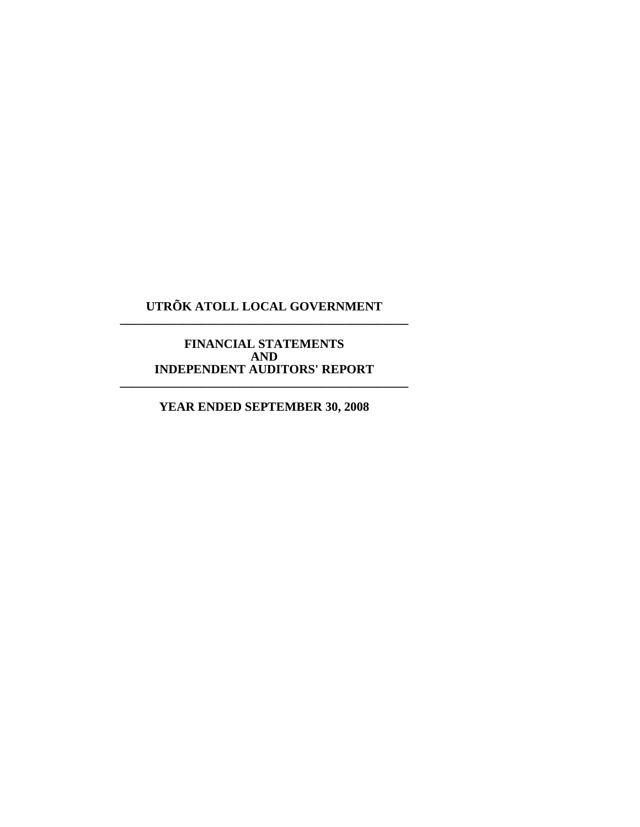# **UTRÕK ATOLL LOCAL GOVERNMENT \_\_\_\_\_\_\_\_\_\_\_\_\_\_\_\_\_\_\_\_\_\_\_\_\_\_\_\_\_\_\_\_\_\_\_\_\_\_\_\_\_\_\_\_\_\_**

#### **FINANCIAL STATEMENTS AND INDEPENDENT AUDITORS' REPORT \_\_\_\_\_\_\_\_\_\_\_\_\_\_\_\_\_\_\_\_\_\_\_\_\_\_\_\_\_\_\_\_\_\_\_\_\_\_\_\_\_\_\_\_\_\_**

**YEAR ENDED SEPTEMBER 30, 2008**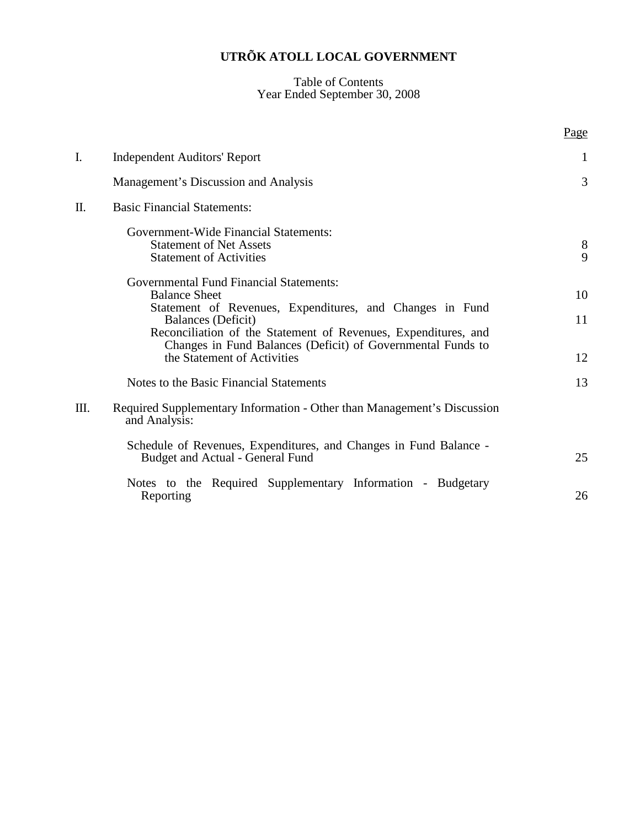#### Table of Contents Year Ended September 30, 2008

|    |                                                                                                                                                  | Page           |
|----|--------------------------------------------------------------------------------------------------------------------------------------------------|----------------|
| I. | <b>Independent Auditors' Report</b>                                                                                                              | 1              |
|    | Management's Discussion and Analysis                                                                                                             | $\overline{3}$ |
| Π. | <b>Basic Financial Statements:</b>                                                                                                               |                |
|    | <b>Government-Wide Financial Statements:</b><br><b>Statement of Net Assets</b><br><b>Statement of Activities</b>                                 | 8<br>9         |
|    | <b>Governmental Fund Financial Statements:</b><br><b>Balance Sheet</b>                                                                           | 10             |
|    | Statement of Revenues, Expenditures, and Changes in Fund<br>Balances (Deficit)<br>Reconciliation of the Statement of Revenues, Expenditures, and | 11             |
|    | Changes in Fund Balances (Deficit) of Governmental Funds to<br>the Statement of Activities                                                       | 12             |
|    | Notes to the Basic Financial Statements                                                                                                          | 13             |
| Ш. | Required Supplementary Information - Other than Management's Discussion<br>and Analysis:                                                         |                |
|    | Schedule of Revenues, Expenditures, and Changes in Fund Balance -<br><b>Budget and Actual - General Fund</b>                                     | 25             |
|    | Notes to the Required Supplementary Information - Budgetary<br>Reporting                                                                         | 26             |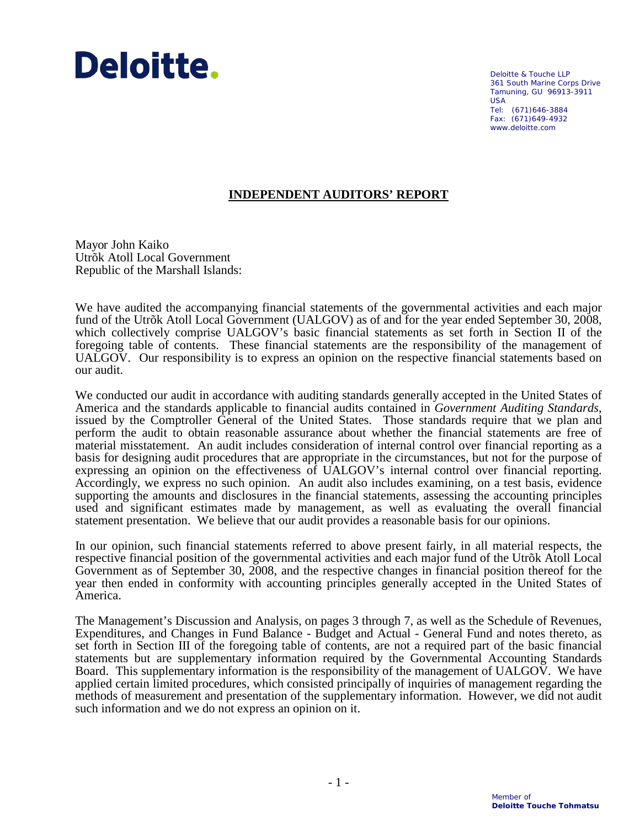# Deloitte.

Deloitte & Touche LLP 361 South Marine Corps Drive Tamuning, GU 96913-3911 USA Tel: (671)646-3884 Fax: (671)649-4932 www.deloitte.com

# **INDEPENDENT AUDITORS' REPORT**

Mayor John Kaiko Utrõk Atoll Local Government Republic of the Marshall Islands:

We have audited the accompanying financial statements of the governmental activities and each major fund of the Utrõk Atoll Local Government (UALGOV) as of and for the year ended September 30, 2008, which collectively comprise UALGOV's basic financial statements as set forth in Section II of the foregoing table of contents. These financial statements are the responsibility of the management of UALGOV. Our responsibility is to express an opinion on the respective financial statements based on our audit.

We conducted our audit in accordance with auditing standards generally accepted in the United States of America and the standards applicable to financial audits contained in *Government Auditing Standards*, issued by the Comptroller General of the United States. Those standards require that we plan and perform the audit to obtain reasonable assurance about whether the financial statements are free of material misstatement. An audit includes consideration of internal control over financial reporting as a basis for designing audit procedures that are appropriate in the circumstances, but not for the purpose of expressing an opinion on the effectiveness of UALGOV's internal control over financial reporting. Accordingly, we express no such opinion. An audit also includes examining, on a test basis, evidence supporting the amounts and disclosures in the financial statements, assessing the accounting principles used and significant estimates made by management, as well as evaluating the overall financial statement presentation. We believe that our audit provides a reasonable basis for our opinions.

In our opinion, such financial statements referred to above present fairly, in all material respects, the respective financial position of the governmental activities and each major fund of the Utrõk Atoll Local Government as of September 30, 2008, and the respective changes in financial position thereof for the year then ended in conformity with accounting principles generally accepted in the United States of America.

The Management's Discussion and Analysis, on pages 3 through 7, as well as the Schedule of Revenues, Expenditures, and Changes in Fund Balance - Budget and Actual - General Fund and notes thereto, as set forth in Section III of the foregoing table of contents, are not a required part of the basic financial statements but are supplementary information required by the Governmental Accounting Standards Board. This supplementary information is the responsibility of the management of UALGOV. We have applied certain limited procedures, which consisted principally of inquiries of management regarding the methods of measurement and presentation of the supplementary information. However, we did not audit such information and we do not express an opinion on it.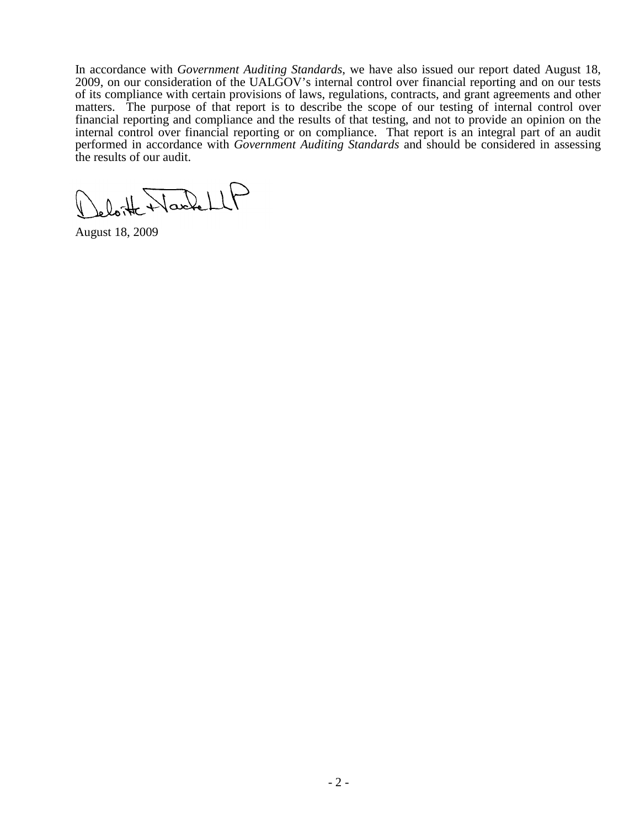In accordance with *Government Auditing Standards*, we have also issued our report dated August 18, 2009, on our consideration of the UALGOV's internal control over financial reporting and on our tests of its compliance with certain provisions of laws, regulations, contracts, and grant agreements and other matters. The purpose of that report is to describe the scope of our testing of internal control over financial reporting and compliance and the results of that testing, and not to provide an opinion on the internal control over financial reporting or on compliance. That report is an integral part of an audit performed in accordance with *Government Auditing Standards* and should be considered in assessing the results of our audit.

loite Washell

August 18, 2009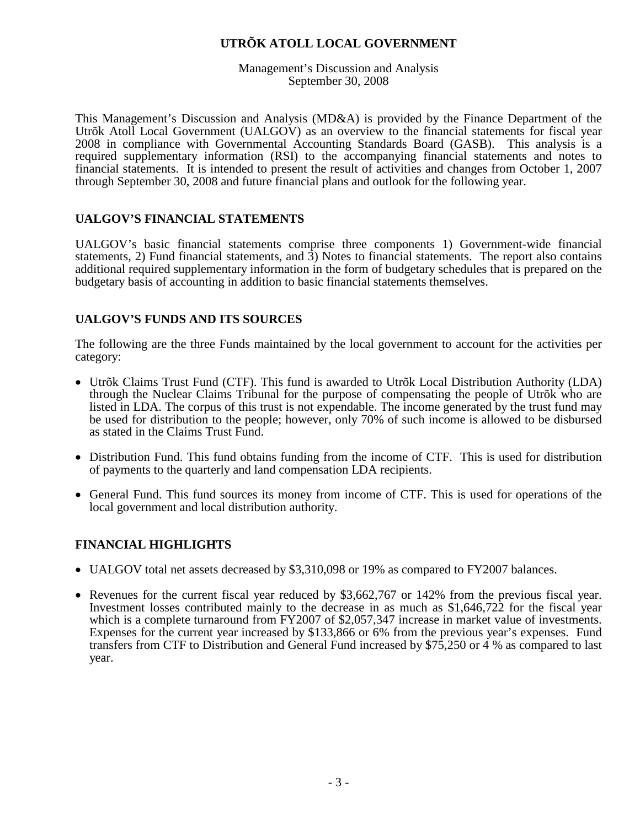Management's Discussion and Analysis September 30, 2008

This Management's Discussion and Analysis (MD&A) is provided by the Finance Department of the Utrõk Atoll Local Government (UALGOV) as an overview to the financial statements for fiscal year 2008 in compliance with Governmental Accounting Standards Board (GASB). This analysis is a required supplementary information (RSI) to the accompanying financial statements and notes to financial statements. It is intended to present the result of activities and changes from October 1, 2007 through September 30, 2008 and future financial plans and outlook for the following year.

## **UALGOV'S FINANCIAL STATEMENTS**

UALGOV's basic financial statements comprise three components 1) Government-wide financial statements, 2) Fund financial statements, and 3) Notes to financial statements. The report also contains additional required supplementary information in the form of budgetary schedules that is prepared on the budgetary basis of accounting in addition to basic financial statements themselves.

## **UALGOV'S FUNDS AND ITS SOURCES**

The following are the three Funds maintained by the local government to account for the activities per category:

- Utrõk Claims Trust Fund (CTF). This fund is awarded to Utrõk Local Distribution Authority (LDA) through the Nuclear Claims Tribunal for the purpose of compensating the people of Utrõk who are listed in LDA. The corpus of this trust is not expendable. The income generated by the trust fund may be used for distribution to the people; however, only 70% of such income is allowed to be disbursed as stated in the Claims Trust Fund.
- Distribution Fund. This fund obtains funding from the income of CTF. This is used for distribution of payments to the quarterly and land compensation LDA recipients.
- General Fund. This fund sources its money from income of CTF. This is used for operations of the local government and local distribution authority.

#### **FINANCIAL HIGHLIGHTS**

- UALGOV total net assets decreased by \$3,310,098 or 19% as compared to FY2007 balances.
- Revenues for the current fiscal year reduced by \$3,662,767 or 142% from the previous fiscal year. Investment losses contributed mainly to the decrease in as much as \$1,646,722 for the fiscal year which is a complete turnaround from FY2007 of \$2,057,347 increase in market value of investments. Expenses for the current year increased by \$133,866 or 6% from the previous year's expenses. Fund transfers from CTF to Distribution and General Fund increased by \$75,250 or 4 % as compared to last year.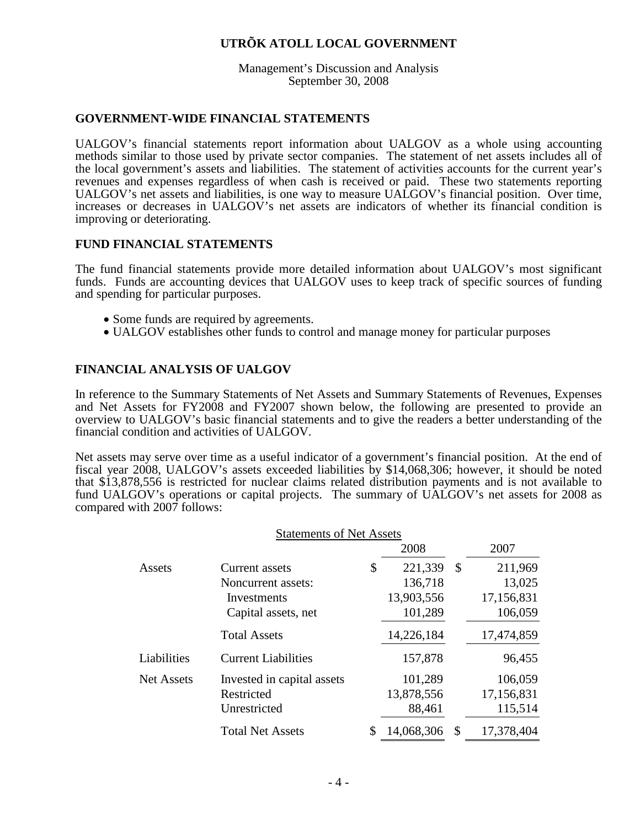Management's Discussion and Analysis September 30, 2008

#### **GOVERNMENT-WIDE FINANCIAL STATEMENTS**

UALGOV's financial statements report information about UALGOV as a whole using accounting methods similar to those used by private sector companies. The statement of net assets includes all of the local government's assets and liabilities. The statement of activities accounts for the current year's revenues and expenses regardless of when cash is received or paid. These two statements reporting UALGOV's net assets and liabilities, is one way to measure UALGOV's financial position. Over time, increases or decreases in UALGOV's net assets are indicators of whether its financial condition is improving or deteriorating.

#### **FUND FINANCIAL STATEMENTS**

The fund financial statements provide more detailed information about UALGOV's most significant funds. Funds are accounting devices that UALGOV uses to keep track of specific sources of funding and spending for particular purposes.

- Some funds are required by agreements.
- UALGOV establishes other funds to control and manage money for particular purposes

#### **FINANCIAL ANALYSIS OF UALGOV**

In reference to the Summary Statements of Net Assets and Summary Statements of Revenues, Expenses and Net Assets for FY2008 and FY2007 shown below, the following are presented to provide an overview to UALGOV's basic financial statements and to give the readers a better understanding of the financial condition and activities of UALGOV.

Net assets may serve over time as a useful indicator of a government's financial position. At the end of fiscal year 2008, UALGOV's assets exceeded liabilities by \$14,068,306; however, it should be noted that \$13,878,556 is restricted for nuclear claims related distribution payments and is not available to fund UALGOV's operations or capital projects. The summary of UALGOV's net assets for 2008 as compared with 2007 follows:

|             | <b>Statements of Net Assets</b> |                  |   |            |
|-------------|---------------------------------|------------------|---|------------|
|             |                                 | 2008             |   | 2007       |
| Assets      | Current assets                  | \$<br>221,339    | S | 211,969    |
|             | Noncurrent assets:              | 136,718          |   | 13,025     |
|             | Investments                     | 13,903,556       |   | 17,156,831 |
|             | Capital assets, net             | 101,289          |   | 106,059    |
|             | <b>Total Assets</b>             | 14,226,184       |   | 17,474,859 |
| Liabilities | <b>Current Liabilities</b>      | 157,878          |   | 96,455     |
| Net Assets  | Invested in capital assets      | 101,289          |   | 106,059    |
|             | Restricted                      | 13,878,556       |   | 17,156,831 |
|             | Unrestricted                    | 88,461           |   | 115,514    |
|             | <b>Total Net Assets</b>         | \$<br>14,068,306 | S | 17,378,404 |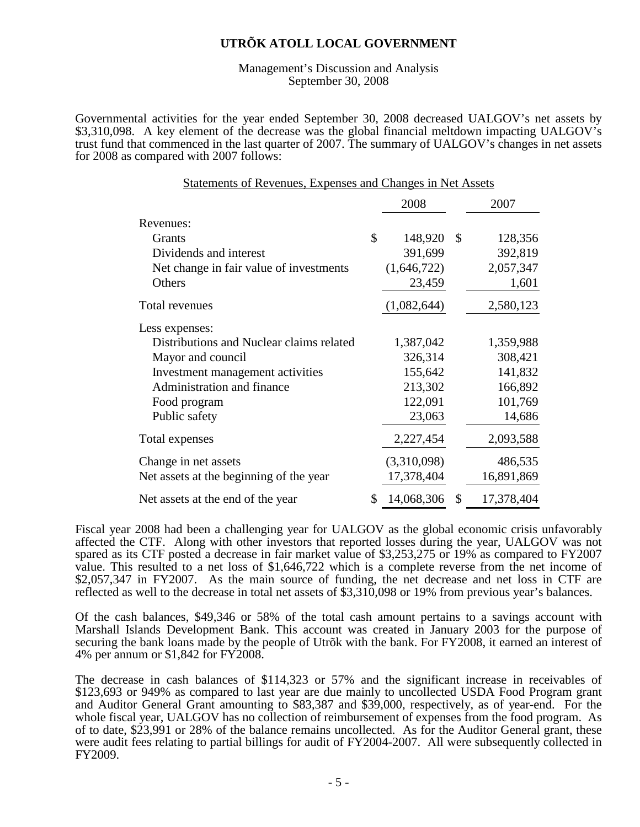Management's Discussion and Analysis September 30, 2008

Governmental activities for the year ended September 30, 2008 decreased UALGOV's net assets by \$3,310,098. A key element of the decrease was the global financial meltdown impacting UALGOV's trust fund that commenced in the last quarter of 2007. The summary of UALGOV's changes in net assets for 2008 as compared with 2007 follows:

Statements of Revenues, Expenses and Changes in Net Assets

|                                          | 2008             |               | 2007       |
|------------------------------------------|------------------|---------------|------------|
| Revenues:                                |                  |               |            |
| Grants                                   | \$<br>148,920    | <sup>\$</sup> | 128,356    |
| Dividends and interest                   | 391,699          |               | 392,819    |
| Net change in fair value of investments  | (1,646,722)      |               | 2,057,347  |
| Others                                   | 23,459           |               | 1,601      |
| Total revenues                           | (1,082,644)      |               | 2,580,123  |
| Less expenses:                           |                  |               |            |
| Distributions and Nuclear claims related | 1,387,042        |               | 1,359,988  |
| Mayor and council                        | 326,314          |               | 308,421    |
| Investment management activities         | 155,642          |               | 141,832    |
| Administration and finance               | 213,302          |               | 166,892    |
| Food program                             | 122,091          |               | 101,769    |
| Public safety                            | 23,063           |               | 14,686     |
| Total expenses                           | 2,227,454        |               | 2,093,588  |
| Change in net assets                     | (3,310,098)      |               | 486,535    |
| Net assets at the beginning of the year  | 17,378,404       |               | 16,891,869 |
| Net assets at the end of the year        | \$<br>14,068,306 | \$            | 17,378,404 |

Fiscal year 2008 had been a challenging year for UALGOV as the global economic crisis unfavorably affected the CTF. Along with other investors that reported losses during the year, UALGOV was not spared as its CTF posted a decrease in fair market value of \$3,253,275 or 19% as compared to FY2007 value. This resulted to a net loss of \$1,646,722 which is a complete reverse from the net income of \$2,057,347 in FY2007. As the main source of funding, the net decrease and net loss in CTF are reflected as well to the decrease in total net assets of \$3,310,098 or 19% from previous year's balances.

Of the cash balances, \$49,346 or 58% of the total cash amount pertains to a savings account with Marshall Islands Development Bank. This account was created in January 2003 for the purpose of securing the bank loans made by the people of Utrõk with the bank. For FY2008, it earned an interest of 4% per annum or \$1,842 for FY2008.

The decrease in cash balances of \$114,323 or 57% and the significant increase in receivables of \$123,693 or 949% as compared to last year are due mainly to uncollected USDA Food Program grant and Auditor General Grant amounting to \$83,387 and \$39,000, respectively, as of year-end. For the whole fiscal year, UALGOV has no collection of reimbursement of expenses from the food program. As of to date, \$23,991 or 28% of the balance remains uncollected. As for the Auditor General grant, these were audit fees relating to partial billings for audit of FY2004-2007. All were subsequently collected in FY2009.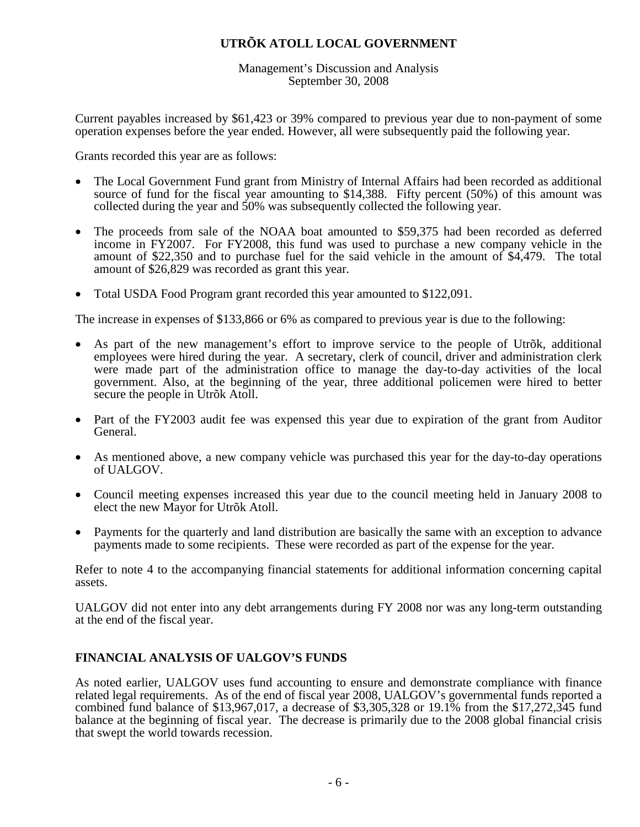Management's Discussion and Analysis September 30, 2008

Current payables increased by \$61,423 or 39% compared to previous year due to non-payment of some operation expenses before the year ended. However, all were subsequently paid the following year.

Grants recorded this year are as follows:

- The Local Government Fund grant from Ministry of Internal Affairs had been recorded as additional source of fund for the fiscal year amounting to \$14,388. Fifty percent (50%) of this amount was collected during the year and 50% was subsequently collected the following year.
- The proceeds from sale of the NOAA boat amounted to \$59,375 had been recorded as deferred income in FY2007. For FY2008, this fund was used to purchase a new company vehicle in the amount of \$22,350 and to purchase fuel for the said vehicle in the amount of \$4,479. The total amount of \$26,829 was recorded as grant this year.
- Total USDA Food Program grant recorded this year amounted to \$122,091.

The increase in expenses of \$133,866 or 6% as compared to previous year is due to the following:

- As part of the new management's effort to improve service to the people of Utrõk, additional employees were hired during the year. A secretary, clerk of council, driver and administration clerk were made part of the administration office to manage the day-to-day activities of the local government. Also, at the beginning of the year, three additional policemen were hired to better secure the people in Utrõk Atoll.
- Part of the FY2003 audit fee was expensed this year due to expiration of the grant from Auditor General.
- As mentioned above, a new company vehicle was purchased this year for the day-to-day operations of UALGOV.
- Council meeting expenses increased this year due to the council meeting held in January 2008 to elect the new Mayor for Utrõk Atoll.
- Payments for the quarterly and land distribution are basically the same with an exception to advance payments made to some recipients. These were recorded as part of the expense for the year.

Refer to note 4 to the accompanying financial statements for additional information concerning capital assets.

UALGOV did not enter into any debt arrangements during FY 2008 nor was any long-term outstanding at the end of the fiscal year.

#### **FINANCIAL ANALYSIS OF UALGOV'S FUNDS**

As noted earlier, UALGOV uses fund accounting to ensure and demonstrate compliance with finance related legal requirements. As of the end of fiscal year 2008, UALGOV's governmental funds reported a combined fund balance of \$13,967,017, a decrease of \$3,305,328 or 19.1% from the \$17,272,345 fund balance at the beginning of fiscal year. The decrease is primarily due to the 2008 global financial crisis that swept the world towards recession.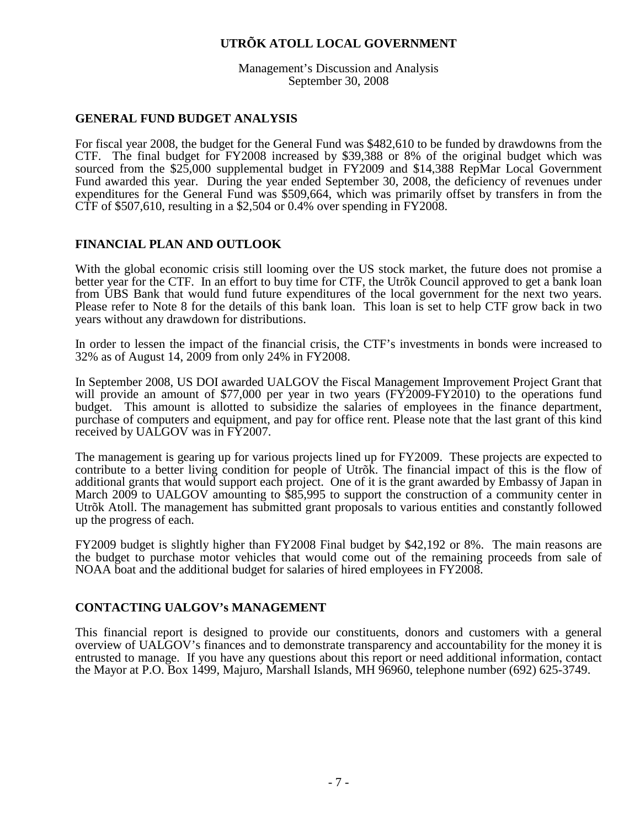Management's Discussion and Analysis September 30, 2008

#### **GENERAL FUND BUDGET ANALYSIS**

For fiscal year 2008, the budget for the General Fund was \$482,610 to be funded by drawdowns from the CTF. The final budget for FY2008 increased by \$39,388 or 8% of the original budget which was sourced from the \$25,000 supplemental budget in FY2009 and \$14,388 RepMar Local Government Fund awarded this year. During the year ended September 30, 2008, the deficiency of revenues under expenditures for the General Fund was \$509,664, which was primarily offset by transfers in from the CTF of \$507,610, resulting in a \$2,504 or 0.4% over spending in FY2008.

#### **FINANCIAL PLAN AND OUTLOOK**

With the global economic crisis still looming over the US stock market, the future does not promise a better year for the CTF. In an effort to buy time for CTF, the Utrõk Council approved to get a bank loan from UBS Bank that would fund future expenditures of the local government for the next two years. Please refer to Note 8 for the details of this bank loan. This loan is set to help CTF grow back in two years without any drawdown for distributions.

In order to lessen the impact of the financial crisis, the CTF's investments in bonds were increased to 32% as of August 14, 2009 from only 24% in FY2008.

In September 2008, US DOI awarded UALGOV the Fiscal Management Improvement Project Grant that will provide an amount of \$77,000 per year in two years (FY2009-FY2010) to the operations fund budget. This amount is allotted to subsidize the salaries of employees in the finance department, purchase of computers and equipment, and pay for office rent. Please note that the last grant of this kind received by UALGOV was in FY2007.

The management is gearing up for various projects lined up for FY2009. These projects are expected to contribute to a better living condition for people of Utrõk. The financial impact of this is the flow of additional grants that would support each project. One of it is the grant awarded by Embassy of Japan in March 2009 to UALGOV amounting to \$85,995 to support the construction of a community center in Utrõk Atoll. The management has submitted grant proposals to various entities and constantly followed up the progress of each.

FY2009 budget is slightly higher than FY2008 Final budget by \$42,192 or 8%. The main reasons are the budget to purchase motor vehicles that would come out of the remaining proceeds from sale of NOAA boat and the additional budget for salaries of hired employees in FY2008.

#### **CONTACTING UALGOV's MANAGEMENT**

This financial report is designed to provide our constituents, donors and customers with a general overview of UALGOV's finances and to demonstrate transparency and accountability for the money it is entrusted to manage. If you have any questions about this report or need additional information, contact the Mayor at P.O. Box 1499, Majuro, Marshall Islands, MH 96960, telephone number (692) 625-3749.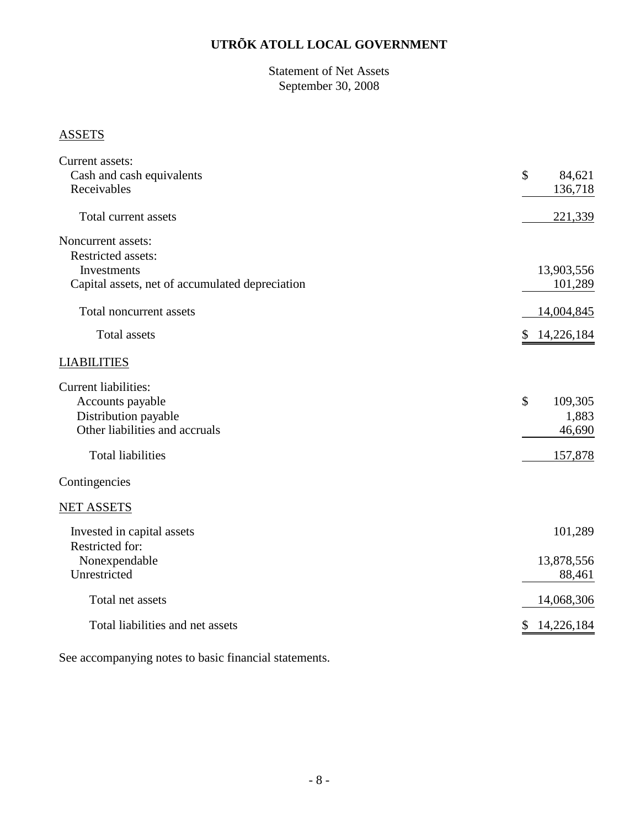Statement of Net Assets September 30, 2008

# **ASSETS**

| Current assets:                                 |                         |
|-------------------------------------------------|-------------------------|
| Cash and cash equivalents                       | $\mathcal{S}$<br>84,621 |
| Receivables                                     | 136,718                 |
|                                                 |                         |
| Total current assets                            | 221,339                 |
| Noncurrent assets:                              |                         |
| <b>Restricted assets:</b>                       |                         |
| Investments                                     | 13,903,556              |
| Capital assets, net of accumulated depreciation | 101,289                 |
| Total noncurrent assets                         | 14,004,845              |
| Total assets                                    | 14,226,184<br>\$        |
| <b>LIABILITIES</b>                              |                         |
| <b>Current liabilities:</b>                     |                         |
| Accounts payable                                | \$<br>109,305           |
| Distribution payable                            | 1,883                   |
| Other liabilities and accruals                  | 46,690                  |
| <b>Total liabilities</b>                        | 157,878                 |
| Contingencies                                   |                         |
| <b>NET ASSETS</b>                               |                         |
| Invested in capital assets                      | 101,289                 |
| Restricted for:                                 |                         |
| Nonexpendable                                   | 13,878,556              |
| Unrestricted                                    | 88,461                  |
| Total net assets                                | 14,068,306              |
| Total liabilities and net assets                | 14,226,184<br>\$        |
|                                                 |                         |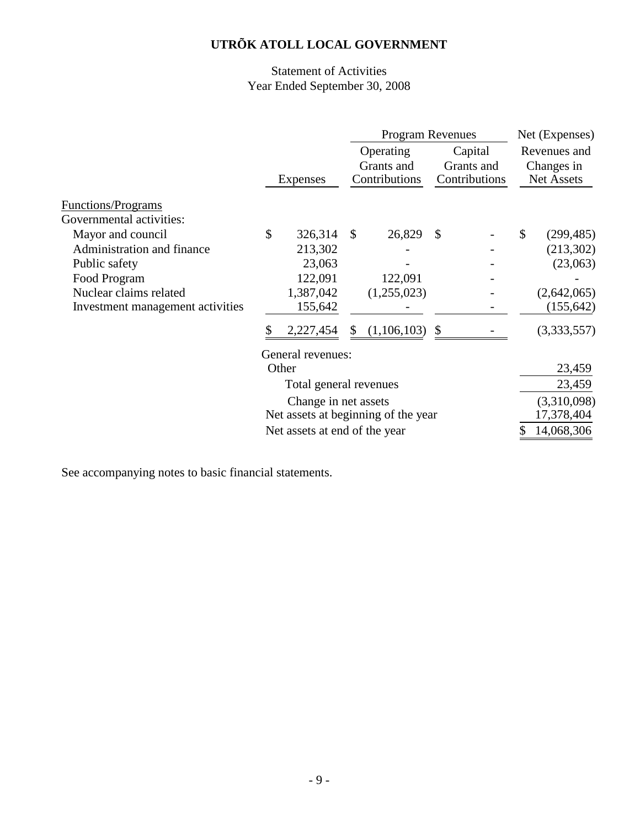# Statement of Activities Year Ended September 30, 2008

|                                  |                        |                               | <b>Program Revenues</b> |                                     |               |               |    | Net (Expenses) |
|----------------------------------|------------------------|-------------------------------|-------------------------|-------------------------------------|---------------|---------------|----|----------------|
|                                  |                        |                               |                         | Operating                           |               | Capital       |    | Revenues and   |
|                                  | Expenses               |                               |                         | Grants and<br>Contributions         |               | Grants and    |    | Changes in     |
|                                  |                        |                               |                         |                                     |               | Contributions |    | Net Assets     |
| Functions/Programs               |                        |                               |                         |                                     |               |               |    |                |
| Governmental activities:         |                        |                               |                         |                                     |               |               |    |                |
| Mayor and council                | \$                     | 326,314                       | $\mathcal{S}$           | 26,829                              | $\mathcal{S}$ |               | \$ | (299, 485)     |
| Administration and finance       |                        | 213,302                       |                         |                                     |               |               |    | (213,302)      |
| Public safety                    |                        | 23,063                        |                         |                                     |               |               |    | (23,063)       |
| Food Program                     |                        | 122,091                       |                         | 122,091                             |               |               |    |                |
| Nuclear claims related           |                        | 1,387,042                     |                         | (1,255,023)                         |               |               |    | (2,642,065)    |
| Investment management activities |                        | 155,642                       |                         |                                     |               |               |    | (155, 642)     |
|                                  |                        | 2,227,454                     | \$                      | (1,106,103)                         |               |               |    | (3,333,557)    |
|                                  |                        | General revenues:             |                         |                                     |               |               |    |                |
|                                  |                        | Other                         |                         |                                     |               |               |    | 23,459         |
|                                  | Total general revenues |                               |                         |                                     |               |               |    | 23,459         |
|                                  |                        | Change in net assets          |                         |                                     |               |               |    | (3,310,098)    |
|                                  |                        |                               |                         | Net assets at beginning of the year |               |               |    | 17,378,404     |
|                                  |                        | Net assets at end of the year |                         |                                     |               |               | \$ | 14,068,306     |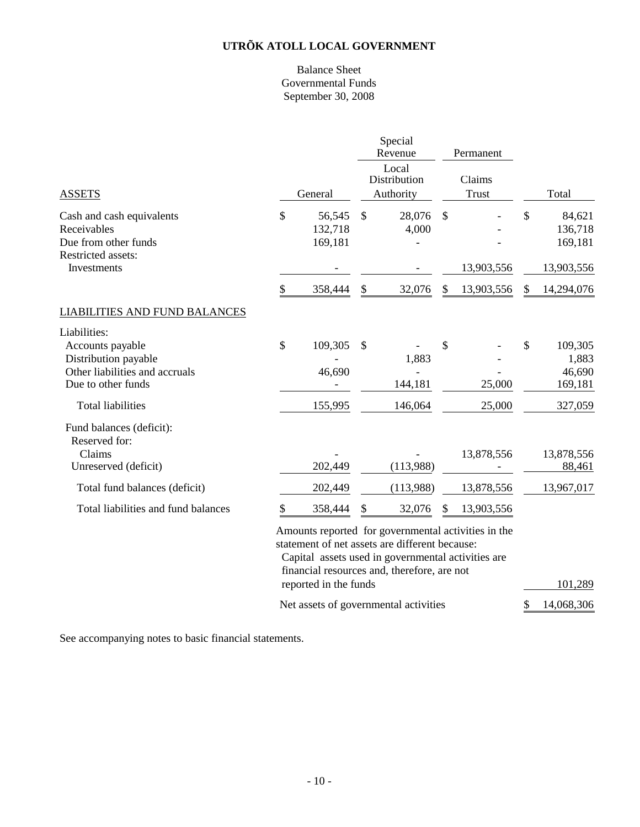#### Balance Sheet Governmental Funds September 30, 2008

|                                                                                                                                              |         |                              |                                                                                                                                                                                                            | Special<br>Revenue                    |                        | Permanent                |                                                        |
|----------------------------------------------------------------------------------------------------------------------------------------------|---------|------------------------------|------------------------------------------------------------------------------------------------------------------------------------------------------------------------------------------------------------|---------------------------------------|------------------------|--------------------------|--------------------------------------------------------|
| <b>ASSETS</b>                                                                                                                                | General |                              |                                                                                                                                                                                                            | Local<br>Distribution<br>Authority    | Claims<br><b>Trust</b> |                          | Total                                                  |
| Cash and cash equivalents<br>Receivables<br>Due from other funds<br>Restricted assets:<br>Investments                                        | \$      | 56,545<br>132,718<br>169,181 | $\mathcal{S}$                                                                                                                                                                                              | 28,076<br>4,000                       | $\mathcal{S}$          | 13,903,556               | \$<br>84,621<br>136,718<br>169,181<br>13,903,556       |
|                                                                                                                                              | \$      | 358,444                      | \$                                                                                                                                                                                                         | 32,076                                | \$                     | 13,903,556               | \$<br>14,294,076                                       |
| <b>LIABILITIES AND FUND BALANCES</b>                                                                                                         |         |                              |                                                                                                                                                                                                            |                                       |                        |                          |                                                        |
| Liabilities:<br>Accounts payable<br>Distribution payable<br>Other liabilities and accruals<br>Due to other funds<br><b>Total liabilities</b> | \$      | 109,305<br>46,690<br>155,995 | \$                                                                                                                                                                                                         | 1,883<br>144,181<br>146,064           | \$                     | 25,000<br>25,000         | \$<br>109,305<br>1,883<br>46,690<br>169,181<br>327,059 |
| Fund balances (deficit):<br>Reserved for:<br>Claims<br>Unreserved (deficit)<br>Total fund balances (deficit)                                 |         | 202,449<br>202,449           |                                                                                                                                                                                                            | (113,988)<br>(113,988)                |                        | 13,878,556<br>13,878,556 | 13,878,556<br>88,461<br>13,967,017                     |
| Total liabilities and fund balances                                                                                                          | \$      | 358,444                      | \$                                                                                                                                                                                                         | 32,076                                |                        | 13,903,556               |                                                        |
|                                                                                                                                              |         | reported in the funds        | Amounts reported for governmental activities in the<br>statement of net assets are different because:<br>Capital assets used in governmental activities are<br>financial resources and, therefore, are not |                                       |                        |                          | 101,289                                                |
|                                                                                                                                              |         |                              |                                                                                                                                                                                                            | Net assets of governmental activities |                        |                          | \$<br>14,068,306                                       |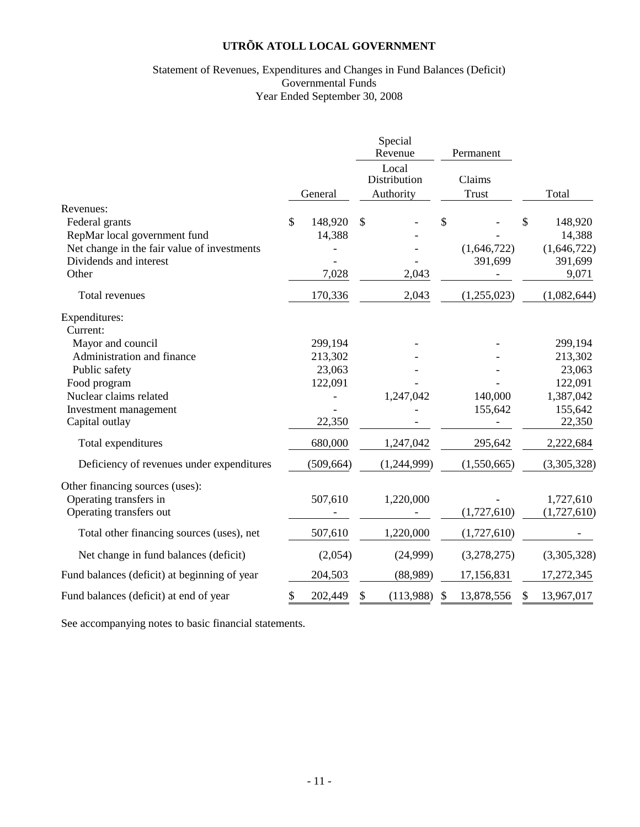#### Statement of Revenues, Expenditures and Changes in Fund Balances (Deficit) Governmental Funds Year Ended September 30, 2008

|                                                                                                            |                         | Special<br>Revenue                 | Permanent              |                                        |
|------------------------------------------------------------------------------------------------------------|-------------------------|------------------------------------|------------------------|----------------------------------------|
|                                                                                                            | General                 | Local<br>Distribution<br>Authority | Claims<br><b>Trust</b> | Total                                  |
| Revenues:<br>Federal grants<br>RepMar local government fund<br>Net change in the fair value of investments | \$<br>148,920<br>14,388 | \$                                 | \$<br>(1,646,722)      | \$<br>148,920<br>14,388<br>(1,646,722) |
| Dividends and interest<br>Other                                                                            | 7,028                   | 2,043                              | 391,699                | 391,699<br>9,071                       |
| Total revenues                                                                                             | 170,336                 | 2,043                              | (1,255,023)            | (1,082,644)                            |
| Expenditures:<br>Current:                                                                                  |                         |                                    |                        |                                        |
| Mayor and council                                                                                          | 299,194                 |                                    |                        | 299,194                                |
| Administration and finance                                                                                 | 213,302                 |                                    |                        | 213,302                                |
| Public safety                                                                                              | 23,063                  |                                    |                        | 23,063                                 |
| Food program                                                                                               | 122,091                 |                                    |                        | 122,091                                |
| Nuclear claims related                                                                                     |                         | 1,247,042                          | 140,000                | 1,387,042                              |
| Investment management                                                                                      |                         |                                    | 155,642                | 155,642                                |
| Capital outlay                                                                                             | 22,350                  |                                    |                        | 22,350                                 |
| Total expenditures                                                                                         | 680,000                 | 1,247,042                          | 295,642                | 2,222,684                              |
| Deficiency of revenues under expenditures                                                                  | (509, 664)              | (1,244,999)                        | (1,550,665)            | (3,305,328)                            |
| Other financing sources (uses):<br>Operating transfers in                                                  | 507,610                 | 1,220,000                          |                        | 1,727,610                              |
| Operating transfers out                                                                                    |                         |                                    | (1,727,610)            | (1,727,610)                            |
| Total other financing sources (uses), net                                                                  | 507,610                 | 1,220,000                          | (1,727,610)            |                                        |
| Net change in fund balances (deficit)                                                                      | (2,054)                 | (24,999)                           | (3,278,275)            | (3,305,328)                            |
| Fund balances (deficit) at beginning of year                                                               | 204,503                 | (88,989)                           | 17,156,831             | 17,272,345                             |
| Fund balances (deficit) at end of year                                                                     | \$<br>202,449           | \$<br>(113,988)                    | 13,878,556             | 13,967,017                             |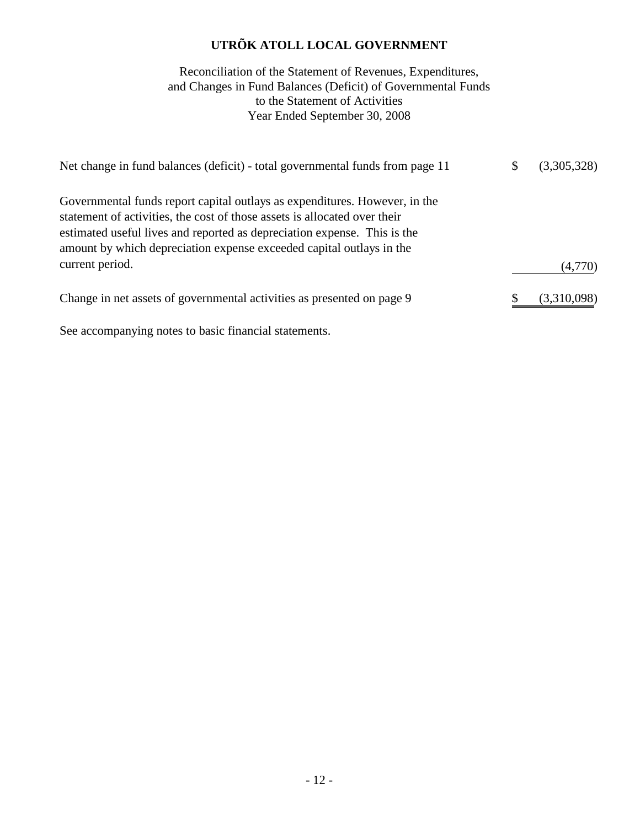# to the Statement of Activities Year Ended September 30, 2008 Reconciliation of the Statement of Revenues, Expenditures, and Changes in Fund Balances (Deficit) of Governmental Funds

| Net change in fund balances (deficit) - total governmental funds from page 11                                                                                                                                                                                                                               | (3,305,328) |
|-------------------------------------------------------------------------------------------------------------------------------------------------------------------------------------------------------------------------------------------------------------------------------------------------------------|-------------|
| Governmental funds report capital outlays as expenditures. However, in the<br>statement of activities, the cost of those assets is allocated over their<br>estimated useful lives and reported as depreciation expense. This is the<br>amount by which depreciation expense exceeded capital outlays in the |             |
| current period.                                                                                                                                                                                                                                                                                             | (4,770)     |
| Change in net assets of governmental activities as presented on page 9                                                                                                                                                                                                                                      | (3,310,098) |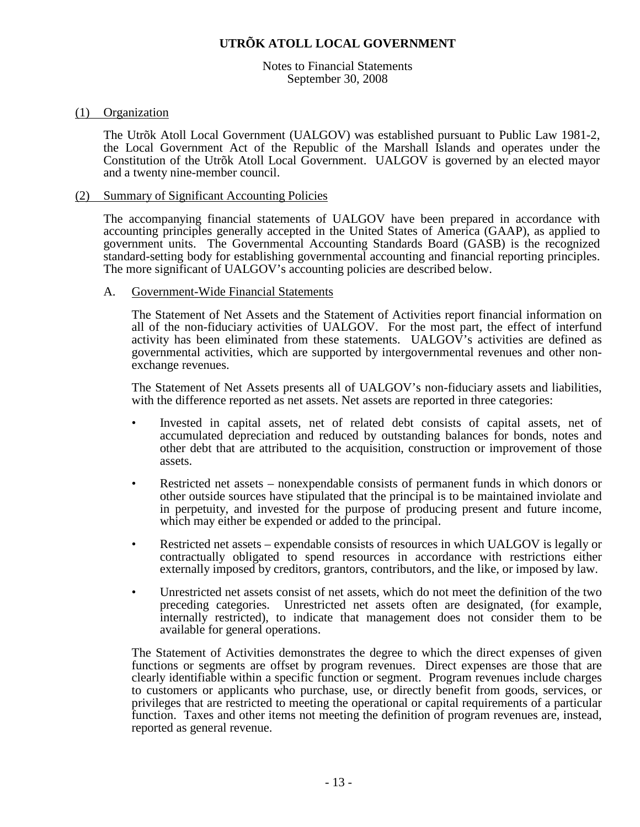Notes to Financial Statements September 30, 2008

#### (1) Organization

The Utrõk Atoll Local Government (UALGOV) was established pursuant to Public Law 1981-2, the Local Government Act of the Republic of the Marshall Islands and operates under the Constitution of the Utrõk Atoll Local Government. UALGOV is governed by an elected mayor and a twenty nine-member council.

#### (2) Summary of Significant Accounting Policies

The accompanying financial statements of UALGOV have been prepared in accordance with accounting principles generally accepted in the United States of America (GAAP), as applied to government units. The Governmental Accounting Standards Board (GASB) is the recognized standard-setting body for establishing governmental accounting and financial reporting principles. The more significant of UALGOV's accounting policies are described below.

#### A. Government-Wide Financial Statements

The Statement of Net Assets and the Statement of Activities report financial information on all of the non-fiduciary activities of UALGOV. For the most part, the effect of interfund activity has been eliminated from these statements. UALGOV's activities are defined as governmental activities, which are supported by intergovernmental revenues and other nonexchange revenues.

The Statement of Net Assets presents all of UALGOV's non-fiduciary assets and liabilities, with the difference reported as net assets. Net assets are reported in three categories:

- Invested in capital assets, net of related debt consists of capital assets, net of accumulated depreciation and reduced by outstanding balances for bonds, notes and other debt that are attributed to the acquisition, construction or improvement of those assets.
- Restricted net assets nonexpendable consists of permanent funds in which donors or other outside sources have stipulated that the principal is to be maintained inviolate and in perpetuity, and invested for the purpose of producing present and future income, which may either be expended or added to the principal.
- Restricted net assets expendable consists of resources in which UALGOV is legally or contractually obligated to spend resources in accordance with restrictions either externally imposed by creditors, grantors, contributors, and the like, or imposed by law.
- Unrestricted net assets consist of net assets, which do not meet the definition of the two preceding categories. Unrestricted net assets often are designated, (for example, internally restricted), to indicate that management does not consider them to be available for general operations.

The Statement of Activities demonstrates the degree to which the direct expenses of given functions or segments are offset by program revenues. Direct expenses are those that are clearly identifiable within a specific function or segment. Program revenues include charges to customers or applicants who purchase, use, or directly benefit from goods, services, or privileges that are restricted to meeting the operational or capital requirements of a particular function. Taxes and other items not meeting the definition of program revenues are, instead, reported as general revenue.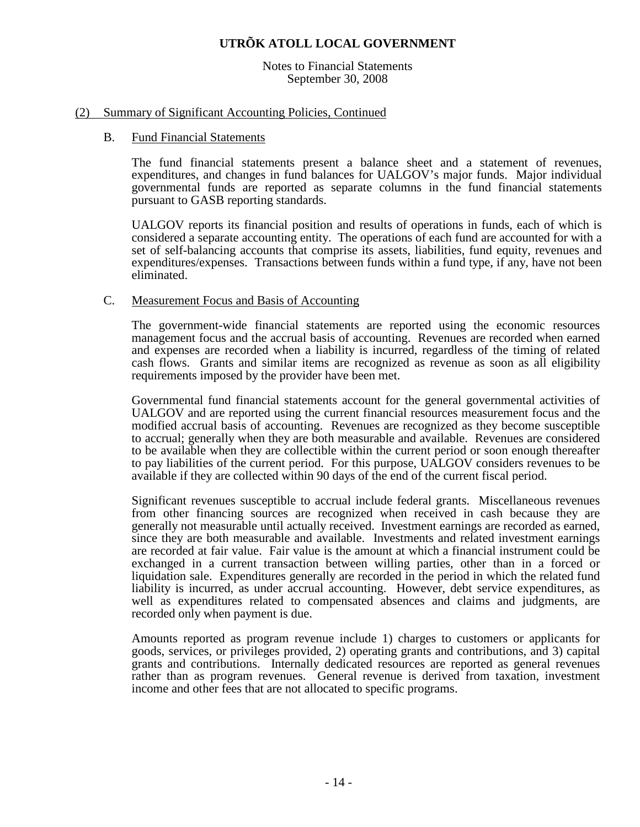Notes to Financial Statements September 30, 2008

#### (2) Summary of Significant Accounting Policies, Continued

#### B. Fund Financial Statements

The fund financial statements present a balance sheet and a statement of revenues, expenditures, and changes in fund balances for UALGOV's major funds. Major individual governmental funds are reported as separate columns in the fund financial statements pursuant to GASB reporting standards.

UALGOV reports its financial position and results of operations in funds, each of which is considered a separate accounting entity. The operations of each fund are accounted for with a set of self-balancing accounts that comprise its assets, liabilities, fund equity, revenues and expenditures/expenses. Transactions between funds within a fund type, if any, have not been eliminated.

#### C. Measurement Focus and Basis of Accounting

The government-wide financial statements are reported using the economic resources management focus and the accrual basis of accounting. Revenues are recorded when earned and expenses are recorded when a liability is incurred, regardless of the timing of related cash flows. Grants and similar items are recognized as revenue as soon as all eligibility requirements imposed by the provider have been met.

Governmental fund financial statements account for the general governmental activities of UALGOV and are reported using the current financial resources measurement focus and the modified accrual basis of accounting. Revenues are recognized as they become susceptible to accrual; generally when they are both measurable and available. Revenues are considered to be available when they are collectible within the current period or soon enough thereafter to pay liabilities of the current period. For this purpose, UALGOV considers revenues to be available if they are collected within 90 days of the end of the current fiscal period.

Significant revenues susceptible to accrual include federal grants. Miscellaneous revenues from other financing sources are recognized when received in cash because they are generally not measurable until actually received. Investment earnings are recorded as earned, since they are both measurable and available. Investments and related investment earnings are recorded at fair value. Fair value is the amount at which a financial instrument could be exchanged in a current transaction between willing parties, other than in a forced or liquidation sale. Expenditures generally are recorded in the period in which the related fund liability is incurred, as under accrual accounting. However, debt service expenditures, as well as expenditures related to compensated absences and claims and judgments, are recorded only when payment is due.

Amounts reported as program revenue include 1) charges to customers or applicants for goods, services, or privileges provided, 2) operating grants and contributions, and 3) capital grants and contributions. Internally dedicated resources are reported as general revenues rather than as program revenues. General revenue is derived from taxation, investment income and other fees that are not allocated to specific programs.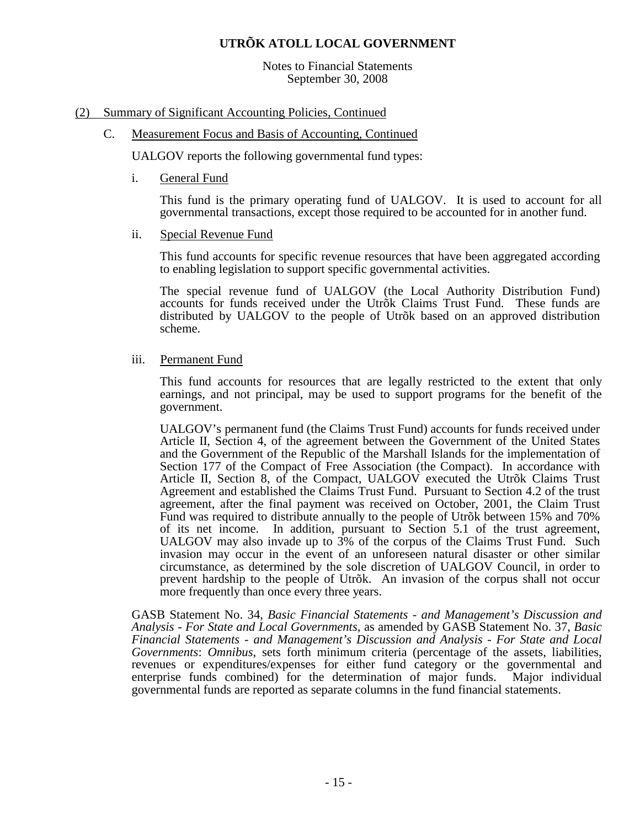Notes to Financial Statements September 30, 2008

#### (2) Summary of Significant Accounting Policies, Continued

#### C. Measurement Focus and Basis of Accounting, Continued

UALGOV reports the following governmental fund types:

i. General Fund

This fund is the primary operating fund of UALGOV. It is used to account for all governmental transactions, except those required to be accounted for in another fund.

ii. Special Revenue Fund

This fund accounts for specific revenue resources that have been aggregated according to enabling legislation to support specific governmental activities.

The special revenue fund of UALGOV (the Local Authority Distribution Fund) accounts for funds received under the Utrõk Claims Trust Fund. These funds are distributed by UALGOV to the people of Utrõk based on an approved distribution scheme.

iii. Permanent Fund

This fund accounts for resources that are legally restricted to the extent that only earnings, and not principal, may be used to support programs for the benefit of the government.

UALGOV's permanent fund (the Claims Trust Fund) accounts for funds received under Article II, Section 4, of the agreement between the Government of the United States and the Government of the Republic of the Marshall Islands for the implementation of Section 177 of the Compact of Free Association (the Compact). In accordance with Article II, Section 8, of the Compact, UALGOV executed the Utrõk Claims Trust Agreement and established the Claims Trust Fund. Pursuant to Section 4.2 of the trust agreement, after the final payment was received on October, 2001, the Claim Trust Fund was required to distribute annually to the people of Utrõk between 15% and 70% of its net income. In addition, pursuant to Section 5.1 of the trust agreement, UALGOV may also invade up to 3% of the corpus of the Claims Trust Fund. Such invasion may occur in the event of an unforeseen natural disaster or other similar circumstance, as determined by the sole discretion of UALGOV Council, in order to prevent hardship to the people of Utrõk. An invasion of the corpus shall not occur more frequently than once every three years.

GASB Statement No. 34, *Basic Financial Statements - and Management's Discussion and Analysis - For State and Local Governments*, as amended by GASB Statement No. 37, *Basic Financial Statements - and Management's Discussion and Analysis - For State and Local Governments*: *Omnibus*, sets forth minimum criteria (percentage of the assets, liabilities, revenues or expenditures/expenses for either fund category or the governmental and enterprise funds combined) for the determination of major funds. Major individual enterprise funds combined) for the determination of major funds. governmental funds are reported as separate columns in the fund financial statements.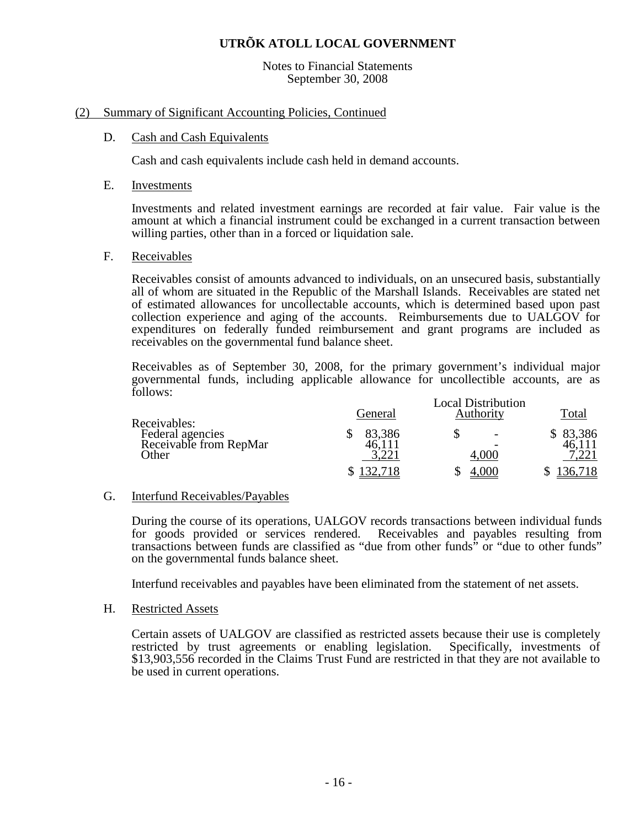#### Notes to Financial Statements September 30, 2008

#### (2) Summary of Significant Accounting Policies, Continued

#### D. Cash and Cash Equivalents

Cash and cash equivalents include cash held in demand accounts.

#### E. Investments

Investments and related investment earnings are recorded at fair value. Fair value is the amount at which a financial instrument could be exchanged in a current transaction between willing parties, other than in a forced or liquidation sale.

#### F. Receivables

 Receivables consist of amounts advanced to individuals, on an unsecured basis, substantially all of whom are situated in the Republic of the Marshall Islands. Receivables are stated net of estimated allowances for uncollectable accounts, which is determined based upon past collection experience and aging of the accounts. Reimbursements due to UALGOV for expenditures on federally funded reimbursement and grant programs are included as receivables on the governmental fund balance sheet.

Receivables as of September 30, 2008, for the primary government's individual major governmental funds, including applicable allowance for uncollectible accounts, are as follows:

| Receivables:                                        | General | <b>Local Distribution</b><br>Total |        |
|-----------------------------------------------------|---------|------------------------------------|--------|
| Federal agencies<br>Receivable from RepMar<br>Other | 83,386  | 4.000                              | 83,386 |
|                                                     |         | .000                               | 36.718 |

#### G. Interfund Receivables/Payables

During the course of its operations, UALGOV records transactions between individual funds for goods provided or services rendered. Receivables and payables resulting from transactions between funds are classified as "due from other funds" or "due to other funds" on the governmental funds balance sheet.

Interfund receivables and payables have been eliminated from the statement of net assets.

#### H. Restricted Assets

Certain assets of UALGOV are classified as restricted assets because their use is completely restricted by trust agreements or enabling legislation. Specifically, investments of restricted by trust agreements or enabling legislation. \$13,903,556 recorded in the Claims Trust Fund are restricted in that they are not available to be used in current operations.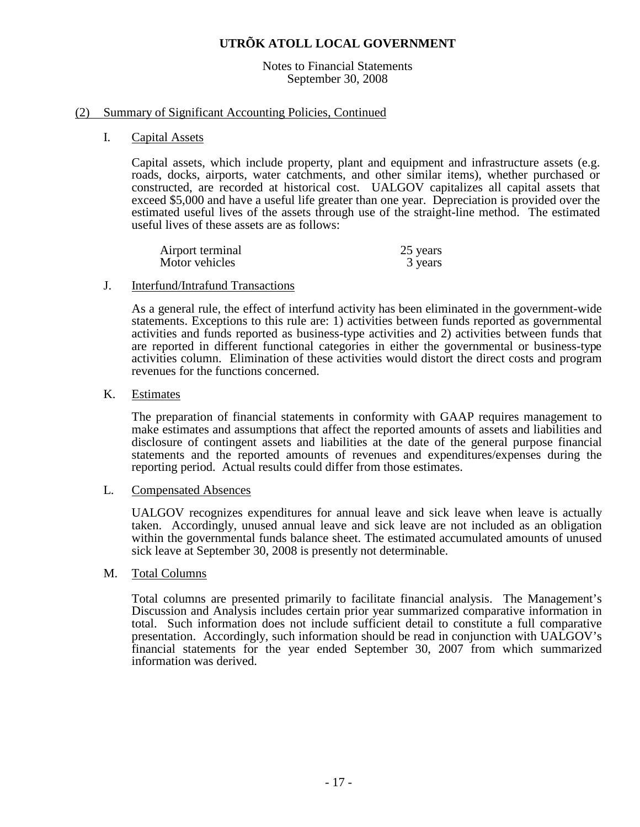Notes to Financial Statements September 30, 2008

#### (2) Summary of Significant Accounting Policies, Continued

I. Capital Assets

Capital assets, which include property, plant and equipment and infrastructure assets (e.g. roads, docks, airports, water catchments, and other similar items), whether purchased or constructed, are recorded at historical cost. UALGOV capitalizes all capital assets that exceed \$5,000 and have a useful life greater than one year. Depreciation is provided over the estimated useful lives of the assets through use of the straight-line method. The estimated useful lives of these assets are as follows:

| Airport terminal | 25 years |
|------------------|----------|
| Motor vehicles   | 3 years  |

#### J. Interfund/Intrafund Transactions

As a general rule, the effect of interfund activity has been eliminated in the government-wide statements. Exceptions to this rule are: 1) activities between funds reported as governmental activities and funds reported as business-type activities and 2) activities between funds that are reported in different functional categories in either the governmental or business-type activities column. Elimination of these activities would distort the direct costs and program revenues for the functions concerned.

K. Estimates

The preparation of financial statements in conformity with GAAP requires management to make estimates and assumptions that affect the reported amounts of assets and liabilities and disclosure of contingent assets and liabilities at the date of the general purpose financial statements and the reported amounts of revenues and expenditures/expenses during the reporting period. Actual results could differ from those estimates.

#### L. Compensated Absences

UALGOV recognizes expenditures for annual leave and sick leave when leave is actually taken. Accordingly, unused annual leave and sick leave are not included as an obligation within the governmental funds balance sheet. The estimated accumulated amounts of unused sick leave at September 30, 2008 is presently not determinable.

M. Total Columns

Total columns are presented primarily to facilitate financial analysis. The Management's Discussion and Analysis includes certain prior year summarized comparative information in total. Such information does not include sufficient detail to constitute a full comparative presentation. Accordingly, such information should be read in conjunction with UALGOV's financial statements for the year ended September 30, 2007 from which summarized information was derived.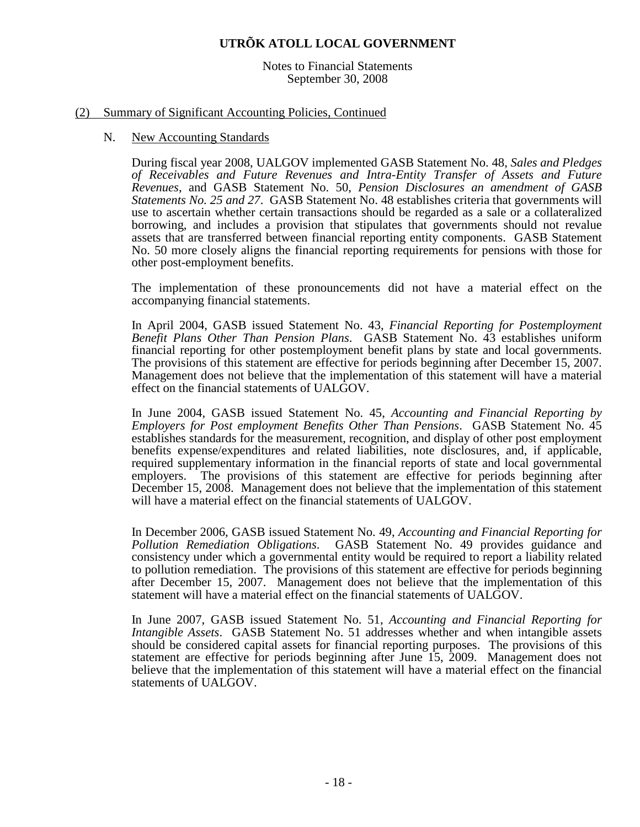Notes to Financial Statements September 30, 2008

#### (2) Summary of Significant Accounting Policies, Continued

#### N. New Accounting Standards

During fiscal year 2008, UALGOV implemented GASB Statement No. 48, *Sales and Pledges of Receivables and Future Revenues and Intra-Entity Transfer of Assets and Future Revenues*, and GASB Statement No. 50, *Pension Disclosures an amendment of GASB Statements No. 25 and 27*. GASB Statement No. 48 establishes criteria that governments will use to ascertain whether certain transactions should be regarded as a sale or a collateralized borrowing, and includes a provision that stipulates that governments should not revalue assets that are transferred between financial reporting entity components. GASB Statement No. 50 more closely aligns the financial reporting requirements for pensions with those for other post-employment benefits.

The implementation of these pronouncements did not have a material effect on the accompanying financial statements.

In April 2004, GASB issued Statement No. 43, *Financial Reporting for Postemployment Benefit Plans Other Than Pension Plans*. GASB Statement No. 43 establishes uniform financial reporting for other postemployment benefit plans by state and local governments. The provisions of this statement are effective for periods beginning after December 15, 2007. Management does not believe that the implementation of this statement will have a material effect on the financial statements of UALGOV.

In June 2004, GASB issued Statement No. 45, *Accounting and Financial Reporting by Employers for Post employment Benefits Other Than Pensions*. GASB Statement No. 45 establishes standards for the measurement, recognition, and display of other post employment benefits expense/expenditures and related liabilities, note disclosures, and, if applicable, required supplementary information in the financial reports of state and local governmental employers. The provisions of this statement are effective for periods beginning after December 15, 2008. Management does not believe that the implementation of this statement will have a material effect on the financial statements of UALGOV.

In December 2006, GASB issued Statement No. 49, *Accounting and Financial Reporting for Pollution Remediation Obligations*. GASB Statement No. 49 provides guidance and consistency under which a governmental entity would be required to report a liability related to pollution remediation. The provisions of this statement are effective for periods beginning after December 15, 2007. Management does not believe that the implementation of this statement will have a material effect on the financial statements of UALGOV.

In June 2007, GASB issued Statement No. 51, *Accounting and Financial Reporting for Intangible Assets*. GASB Statement No. 51 addresses whether and when intangible assets should be considered capital assets for financial reporting purposes. The provisions of this statement are effective for periods beginning after June 15, 2009. Management does not believe that the implementation of this statement will have a material effect on the financial statements of UALGOV.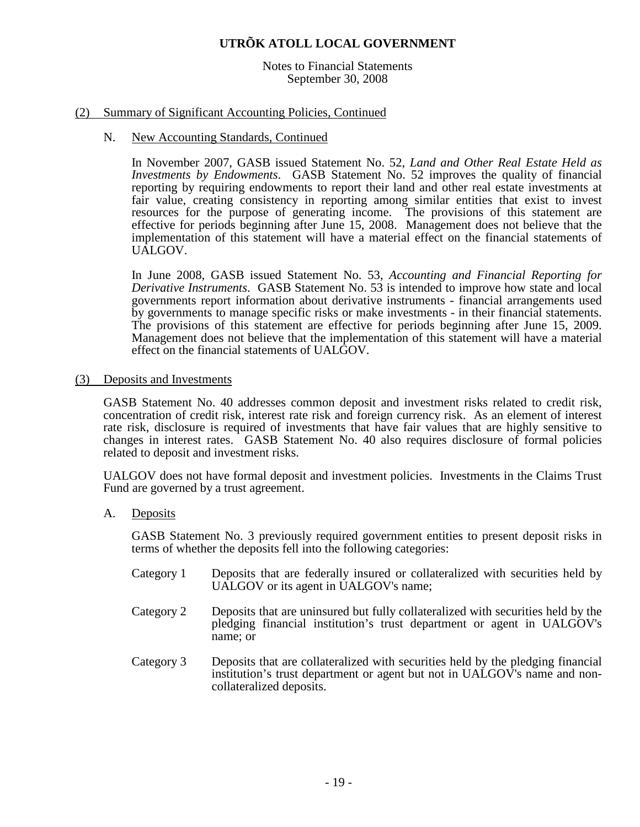#### Notes to Financial Statements September 30, 2008

#### (2) Summary of Significant Accounting Policies, Continued

#### N. New Accounting Standards, Continued

In November 2007, GASB issued Statement No. 52, *Land and Other Real Estate Held as Investments by Endowments*. GASB Statement No. 52 improves the quality of financial reporting by requiring endowments to report their land and other real estate investments at fair value, creating consistency in reporting among similar entities that exist to invest resources for the purpose of generating income. The provisions of this statement are effective for periods beginning after June 15, 2008. Management does not believe that the implementation of this statement will have a material effect on the financial statements of UALGOV.

In June 2008, GASB issued Statement No. 53, *Accounting and Financial Reporting for Derivative Instruments*. GASB Statement No. 53 is intended to improve how state and local governments report information about derivative instruments - financial arrangements used by governments to manage specific risks or make investments - in their financial statements. The provisions of this statement are effective for periods beginning after June 15, 2009. Management does not believe that the implementation of this statement will have a material effect on the financial statements of UALGOV.

#### (3) Deposits and Investments

GASB Statement No. 40 addresses common deposit and investment risks related to credit risk, concentration of credit risk, interest rate risk and foreign currency risk. As an element of interest rate risk, disclosure is required of investments that have fair values that are highly sensitive to changes in interest rates. GASB Statement No. 40 also requires disclosure of formal policies related to deposit and investment risks.

UALGOV does not have formal deposit and investment policies. Investments in the Claims Trust Fund are governed by a trust agreement.

#### A. Deposits

GASB Statement No. 3 previously required government entities to present deposit risks in terms of whether the deposits fell into the following categories:

- Category 1 Deposits that are federally insured or collateralized with securities held by UALGOV or its agent in UALGOV's name;
- Category 2 Deposits that are uninsured but fully collateralized with securities held by the pledging financial institution's trust department or agent in UALGOV's name; or
- Category 3 Deposits that are collateralized with securities held by the pledging financial institution's trust department or agent but not in UALGOV's name and noncollateralized deposits.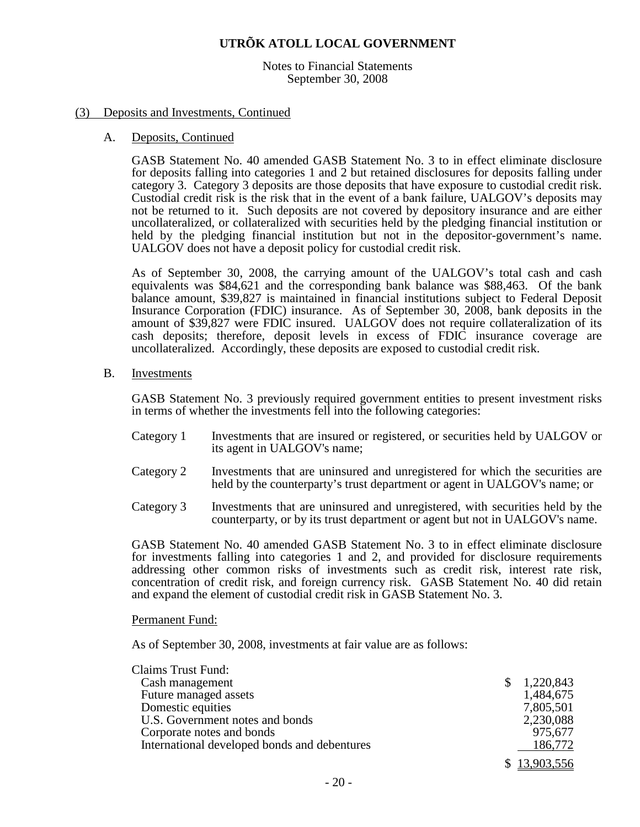Notes to Financial Statements September 30, 2008

#### (3) Deposits and Investments, Continued

#### A. Deposits, Continued

GASB Statement No. 40 amended GASB Statement No. 3 to in effect eliminate disclosure for deposits falling into categories 1 and 2 but retained disclosures for deposits falling under category 3. Category 3 deposits are those deposits that have exposure to custodial credit risk. Custodial credit risk is the risk that in the event of a bank failure, UALGOV's deposits may not be returned to it. Such deposits are not covered by depository insurance and are either uncollateralized, or collateralized with securities held by the pledging financial institution or held by the pledging financial institution but not in the depositor-government's name. UALGOV does not have a deposit policy for custodial credit risk.

As of September 30, 2008, the carrying amount of the UALGOV's total cash and cash equivalents was \$84,621 and the corresponding bank balance was \$88,463. Of the bank balance amount, \$39,827 is maintained in financial institutions subject to Federal Deposit Insurance Corporation (FDIC) insurance. As of September 30, 2008, bank deposits in the amount of \$39,827 were FDIC insured. UALGOV does not require collateralization of its cash deposits; therefore, deposit levels in excess of FDIC insurance coverage are uncollateralized. Accordingly, these deposits are exposed to custodial credit risk.

B. Investments

GASB Statement No. 3 previously required government entities to present investment risks in terms of whether the investments fell into the following categories:

- Category 1 Investments that are insured or registered, or securities held by UALGOV or its agent in UALGOV's name;
- Category 2 Investments that are uninsured and unregistered for which the securities are held by the counterparty's trust department or agent in UALGOV's name; or
- Category 3 Investments that are uninsured and unregistered, with securities held by the counterparty, or by its trust department or agent but not in UALGOV's name.

GASB Statement No. 40 amended GASB Statement No. 3 to in effect eliminate disclosure for investments falling into categories 1 and 2, and provided for disclosure requirements addressing other common risks of investments such as credit risk, interest rate risk, concentration of credit risk, and foreign currency risk. GASB Statement No. 40 did retain and expand the element of custodial credit risk in GASB Statement No. 3.

Permanent Fund:

As of September 30, 2008, investments at fair value are as follows:

| <b>Claims Trust Fund:</b>                    |              |
|----------------------------------------------|--------------|
| Cash management                              | 1,220,843    |
| Future managed assets                        | 1,484,675    |
| Domestic equities                            | 7,805,501    |
| U.S. Government notes and bonds              | 2,230,088    |
| Corporate notes and bonds                    | 975,677      |
| International developed bonds and debentures | 186,772      |
|                                              | \$13,903,556 |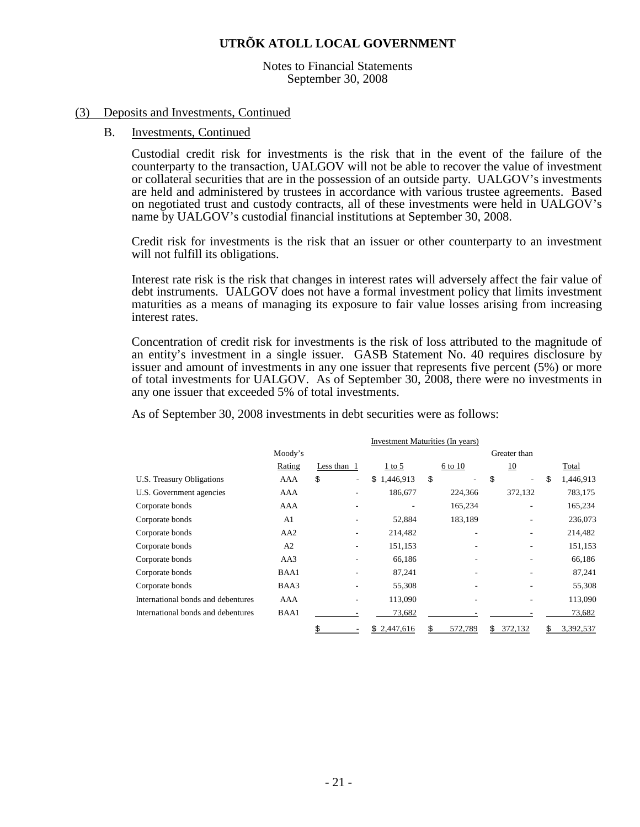Notes to Financial Statements September 30, 2008

#### (3) Deposits and Investments, Continued

#### B. Investments, Continued

Custodial credit risk for investments is the risk that in the event of the failure of the counterparty to the transaction, UALGOV will not be able to recover the value of investment or collateral securities that are in the possession of an outside party. UALGOV's investments are held and administered by trustees in accordance with various trustee agreements. Based on negotiated trust and custody contracts, all of these investments were held in UALGOV's name by UALGOV's custodial financial institutions at September 30, 2008.

Credit risk for investments is the risk that an issuer or other counterparty to an investment will not fulfill its obligations.

Interest rate risk is the risk that changes in interest rates will adversely affect the fair value of debt instruments. UALGOV does not have a formal investment policy that limits investment maturities as a means of managing its exposure to fair value losses arising from increasing interest rates.

Concentration of credit risk for investments is the risk of loss attributed to the magnitude of an entity's investment in a single issuer. GASB Statement No. 40 requires disclosure by issuer and amount of investments in any one issuer that represents five percent (5%) or more of total investments for UALGOV. As of September 30, 2008, there were no investments in any one issuer that exceeded 5% of total investments.

As of September 30, 2008 investments in debt securities were as follows:

|                                    | Investment Maturities (In years) |              |                 |         |              |                 |  |
|------------------------------------|----------------------------------|--------------|-----------------|---------|--------------|-----------------|--|
|                                    | Moody's                          |              |                 |         | Greater than |                 |  |
|                                    | Rating                           | Less than 1  | $1$ to 5        | 6 to 10 | 10           | Total           |  |
| U.S. Treasury Obligations          | AAA                              | \$<br>$\sim$ | 1,446,913<br>\$ | \$      | \$<br>۰      | 1,446,913<br>\$ |  |
| U.S. Government agencies           | AAA                              |              | 186,677         | 224,366 | 372,132      | 783,175         |  |
| Corporate bonds                    | AAA                              |              |                 | 165,234 | ۰            | 165,234         |  |
| Corporate bonds                    | A <sub>1</sub>                   |              | 52,884          | 183,189 |              | 236,073         |  |
| Corporate bonds                    | AA <sub>2</sub>                  |              | 214,482         | ۰       |              | 214,482         |  |
| Corporate bonds                    | A <sub>2</sub>                   |              | 151,153         |         |              | 151,153         |  |
| Corporate bonds                    | AA3                              |              | 66,186          |         |              | 66,186          |  |
| Corporate bonds                    | BAA1                             |              | 87,241          |         |              | 87,241          |  |
| Corporate bonds                    | BAA3                             |              | 55,308          |         |              | 55,308          |  |
| International bonds and debentures | AAA                              |              | 113,090         |         |              | 113,090         |  |
| International bonds and debentures | BAA1                             |              | 73,682          |         |              | 73,682          |  |
|                                    |                                  |              | 2,447,616       | 572,789 | 372,132<br>Ś | 3,392,537       |  |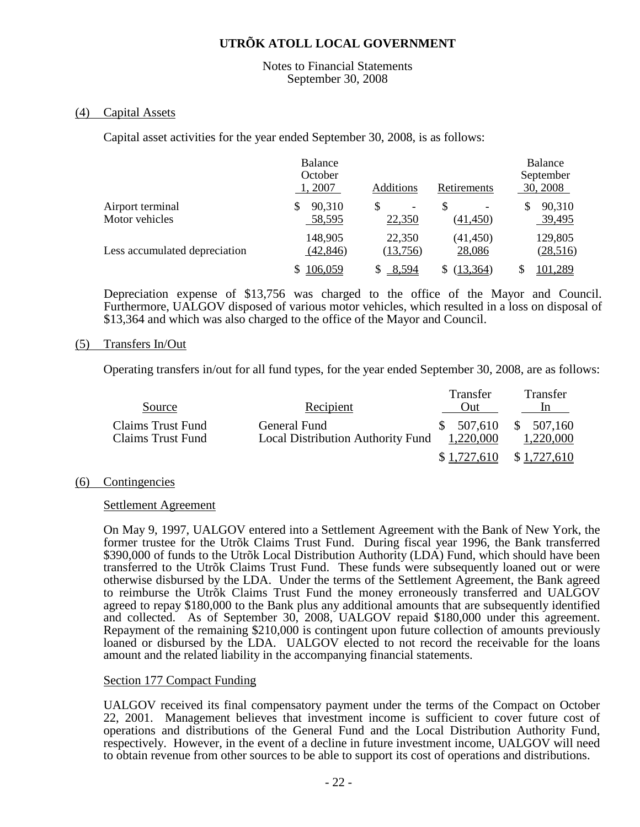#### Notes to Financial Statements September 30, 2008

#### (4) Capital Assets

Capital asset activities for the year ended September 30, 2008, is as follows:

|                                    | <b>Balance</b><br>October<br>1, 2007 | Additions                               | Retirements         | <b>Balance</b><br>September<br>30, 2008 |
|------------------------------------|--------------------------------------|-----------------------------------------|---------------------|-----------------------------------------|
| Airport terminal<br>Motor vehicles | 90,310<br>S<br>58,595                | S<br>$\overline{\phantom{0}}$<br>22,350 | S<br>(41, 450)      | 90,310<br>\$<br>39,495                  |
| Less accumulated depreciation      | 148,905<br>(42, 846)                 | 22,350<br>(13,756)                      | (41, 450)<br>28,086 | 129,805<br>(28,516)                     |
|                                    | 106,059                              | 8,594                                   | (13, 364)           | 101,289                                 |

Depreciation expense of \$13,756 was charged to the office of the Mayor and Council. Furthermore, UALGOV disposed of various motor vehicles, which resulted in a loss on disposal of \$13,364 and which was also charged to the office of the Mayor and Council.

#### (5) Transfers In/Out

Operating transfers in/out for all fund types, for the year ended September 30, 2008, are as follows:

| Source                                 | Recipient                                                | Transfer<br>Out)        | <b>Transfer</b><br>1n  |
|----------------------------------------|----------------------------------------------------------|-------------------------|------------------------|
| Claims Trust Fund<br>Claims Trust Fund | General Fund<br><b>Local Distribution Authority Fund</b> | \$ 507,610<br>1,220,000 | \$507,160<br>1,220,000 |
|                                        |                                                          | \$1,727,610             | \$1,727,610            |

#### (6) Contingencies

#### Settlement Agreement

On May 9, 1997, UALGOV entered into a Settlement Agreement with the Bank of New York, the former trustee for the Utrõk Claims Trust Fund. During fiscal year 1996, the Bank transferred \$390,000 of funds to the Utrõk Local Distribution Authority (LDA) Fund, which should have been transferred to the Utrõk Claims Trust Fund. These funds were subsequently loaned out or were otherwise disbursed by the LDA. Under the terms of the Settlement Agreement, the Bank agreed to reimburse the Utrõk Claims Trust Fund the money erroneously transferred and UALGOV agreed to repay \$180,000 to the Bank plus any additional amounts that are subsequently identified and collected. As of September 30, 2008, UALGOV repaid \$180,000 under this agreement. Repayment of the remaining \$210,000 is contingent upon future collection of amounts previously loaned or disbursed by the LDA. UALGOV elected to not record the receivable for the loans amount and the related liability in the accompanying financial statements.

#### Section 177 Compact Funding

UALGOV received its final compensatory payment under the terms of the Compact on October 22, 2001. Management believes that investment income is sufficient to cover future cost of operations and distributions of the General Fund and the Local Distribution Authority Fund, respectively. However, in the event of a decline in future investment income, UALGOV will need to obtain revenue from other sources to be able to support its cost of operations and distributions.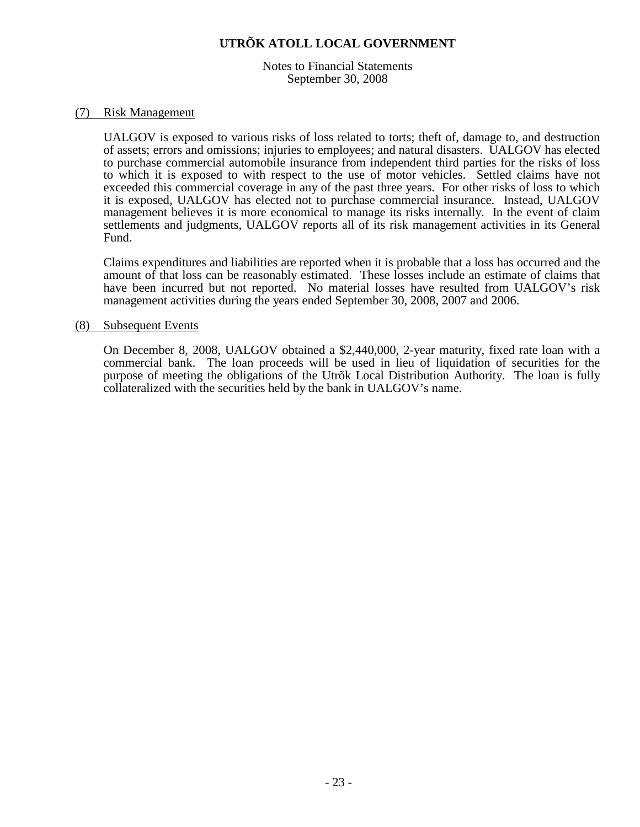Notes to Financial Statements September 30, 2008

#### (7) Risk Management

UALGOV is exposed to various risks of loss related to torts; theft of, damage to, and destruction of assets; errors and omissions; injuries to employees; and natural disasters. UALGOV has elected to purchase commercial automobile insurance from independent third parties for the risks of loss to which it is exposed to with respect to the use of motor vehicles. Settled claims have not exceeded this commercial coverage in any of the past three years. For other risks of loss to which it is exposed, UALGOV has elected not to purchase commercial insurance. Instead, UALGOV management believes it is more economical to manage its risks internally. In the event of claim settlements and judgments, UALGOV reports all of its risk management activities in its General Fund.

Claims expenditures and liabilities are reported when it is probable that a loss has occurred and the amount of that loss can be reasonably estimated. These losses include an estimate of claims that have been incurred but not reported. No material losses have resulted from UALGOV's risk management activities during the years ended September 30, 2008, 2007 and 2006.

#### (8) Subsequent Events

On December 8, 2008, UALGOV obtained a \$2,440,000, 2-year maturity, fixed rate loan with a commercial bank. The loan proceeds will be used in lieu of liquidation of securities for the purpose of meeting the obligations of the Utrõk Local Distribution Authority. The loan is fully collateralized with the securities held by the bank in UALGOV's name.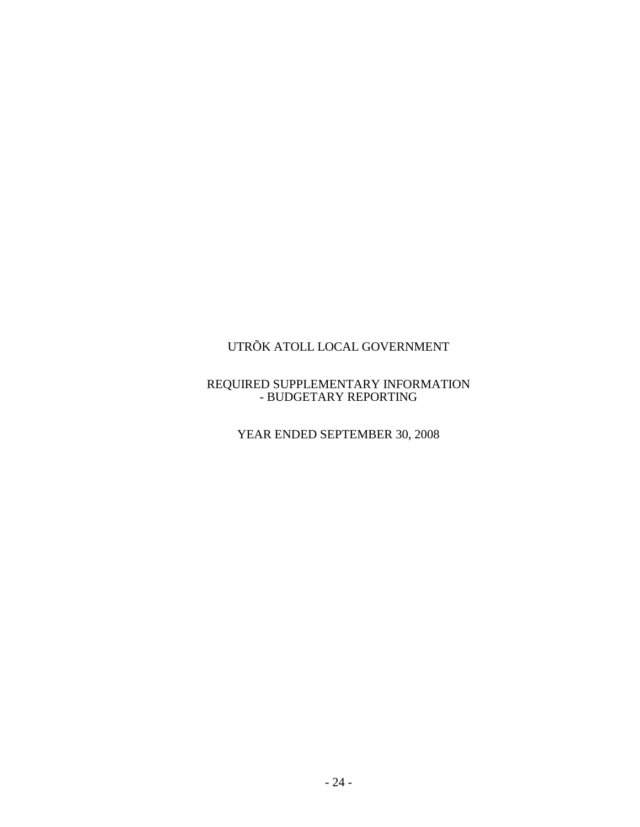#### REQUIRED SUPPLEMENTARY INFORMATION - BUDGETARY REPORTING

YEAR ENDED SEPTEMBER 30, 2008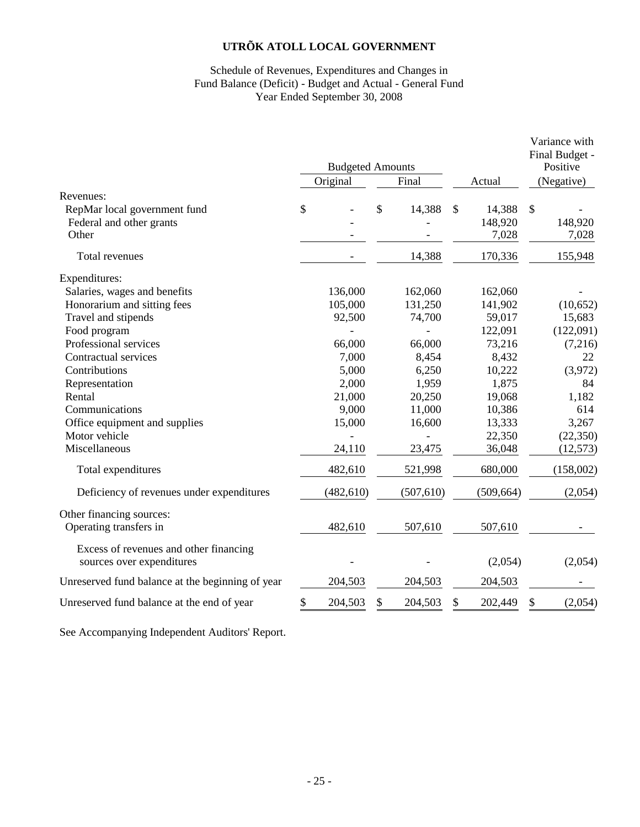#### Schedule of Revenues, Expenditures and Changes in Fund Balance (Deficit) - Budget and Actual - General Fund Year Ended September 30, 2008

| <b>Budgeted Amounts</b><br>Original<br>Final<br>Actual<br>Revenues:<br>\$<br>\$<br>14,388<br>\$<br>\$<br>RepMar local government fund<br>14,388<br>148,920<br>Federal and other grants<br>Other<br>7,028<br>170,336<br>Total revenues<br>14,388<br>Expenditures: | Positive<br>(Negative)<br>148,920<br>7,028<br>155,948 |
|------------------------------------------------------------------------------------------------------------------------------------------------------------------------------------------------------------------------------------------------------------------|-------------------------------------------------------|
|                                                                                                                                                                                                                                                                  |                                                       |
|                                                                                                                                                                                                                                                                  |                                                       |
|                                                                                                                                                                                                                                                                  |                                                       |
|                                                                                                                                                                                                                                                                  |                                                       |
|                                                                                                                                                                                                                                                                  |                                                       |
|                                                                                                                                                                                                                                                                  |                                                       |
|                                                                                                                                                                                                                                                                  |                                                       |
| Salaries, wages and benefits<br>136,000<br>162,060<br>162,060                                                                                                                                                                                                    |                                                       |
| Honorarium and sitting fees<br>105,000<br>131,250<br>141,902                                                                                                                                                                                                     | (10, 652)                                             |
| Travel and stipends<br>74,700<br>59,017<br>92,500                                                                                                                                                                                                                | 15,683                                                |
| Food program<br>122,091                                                                                                                                                                                                                                          | (122,091)                                             |
| Professional services<br>66,000<br>73,216<br>66,000                                                                                                                                                                                                              | (7,216)                                               |
| Contractual services<br>7,000<br>8,454<br>8,432                                                                                                                                                                                                                  | 22                                                    |
| Contributions<br>5,000<br>6,250<br>10,222                                                                                                                                                                                                                        | (3,972)                                               |
| 2,000<br>1,875<br>1,959<br>Representation                                                                                                                                                                                                                        | 84                                                    |
| 19,068<br>Rental<br>21,000<br>20,250                                                                                                                                                                                                                             | 1,182                                                 |
| 9,000<br>10,386<br>Communications<br>11,000                                                                                                                                                                                                                      | 614                                                   |
| 13,333<br>Office equipment and supplies<br>15,000<br>16,600                                                                                                                                                                                                      | 3,267                                                 |
| Motor vehicle<br>22,350                                                                                                                                                                                                                                          | (22, 350)                                             |
| Miscellaneous<br>24,110<br>23,475<br>36,048                                                                                                                                                                                                                      | (12, 573)                                             |
| 482,610<br>Total expenditures<br>521,998<br>680,000                                                                                                                                                                                                              | (158,002)                                             |
| (482, 610)<br>(507, 610)<br>(509, 664)<br>Deficiency of revenues under expenditures                                                                                                                                                                              | (2,054)                                               |
| Other financing sources:                                                                                                                                                                                                                                         |                                                       |
| Operating transfers in<br>482,610<br>507,610<br>507,610                                                                                                                                                                                                          |                                                       |
| Excess of revenues and other financing<br>(2,054)<br>sources over expenditures                                                                                                                                                                                   | (2,054)                                               |
| 204,503<br>204,503<br>204,503<br>Unreserved fund balance at the beginning of year                                                                                                                                                                                |                                                       |
| \$<br>Unreserved fund balance at the end of year<br>204,503<br>\$<br>204,503<br>202,449<br>\$<br>S                                                                                                                                                               | (2,054)                                               |

See Accompanying Independent Auditors' Report.